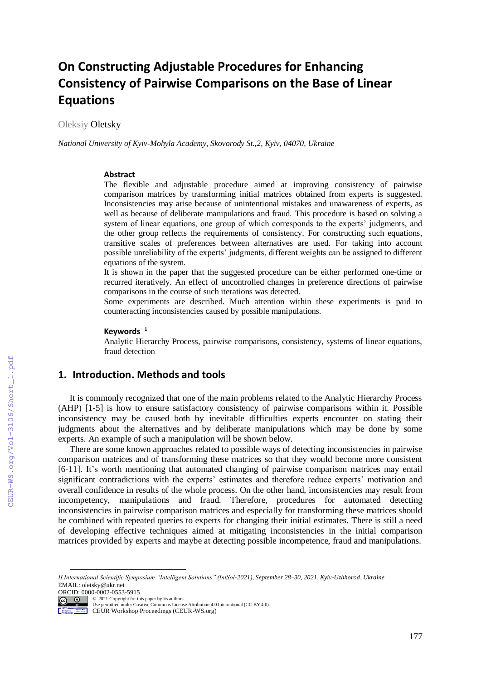# **On Constructing Adjustable Procedures for Enhancing Consistency of Pairwise Comparisons on the Base of Linear Equations**

Oleksiy Oletsky

*National University of Kyiv-Mohyla Academy, Skovorody St.,2, Kyiv, 04070, Ukraine*

#### **Abstract**

The flexible and adjustable procedure aimed at improving consistency of pairwise comparison matrices by transforming initial matrices obtained from experts is suggested. Inconsistencies may arise because of unintentional mistakes and unawareness of experts, as well as because of deliberate manipulations and fraud. This procedure is based on solving a system of linear equations, one group of which corresponds to the experts' judgments, and the other group reflects the requirements of consistency. For constructing such equations, transitive scales of preferences between alternatives are used. For taking into account possible unreliability of the experts' judgments, different weights can be assigned to different equations of the system.

It is shown in the paper that the suggested procedure can be either performed one-time or recurred iteratively. An effect of uncontrolled changes in preference directions of pairwise comparisons in the course of such iterations was detected.

Some experiments are described. Much attention within these experiments is paid to counteracting inconsistencies caused by possible manipulations.

#### **Keywords <sup>1</sup>**

Analytic Hierarchy Process, pairwise comparisons, consistency, systems of linear equations, fraud detection

# **1. Introduction. Methods and tools**

It is commonly recognized that one of the main problems related to the Analytic Hierarchy Process (AHP) [1-5] is how to ensure satisfactory consistency of pairwise comparisons within it. Possible inconsistency may be caused both by inevitable difficulties experts encounter on stating their judgments about the alternatives and by deliberate manipulations which may be done by some experts. An example of such a manipulation will be shown below.

There are some known approaches related to possible ways of detecting inconsistencies in pairwise comparison matrices and of transforming these matrices so that they would become more consistent [6-11]. It's worth mentioning that automated changing of pairwise comparison matrices may entail significant contradictions with the experts' estimates and therefore reduce experts' motivation and overall confidence in results of the whole process. On the other hand, inconsistencies may result from incompetency, manipulations and fraud. Therefore, procedures for automated detecting inconsistencies in pairwise comparison matrices and especially for transforming these matrices should be combined with repeated queries to experts for changing their initial estimates. There is still a need of developing effective techniques aimed at mitigating inconsistencies in the initial comparison matrices provided by experts and maybe at detecting possible incompetence, fraud and manipulations.

ORCID: 0000-0002-0553-5915

1

CEUR Workshop Proceedings (CEUR-WS.org)

*II International Scientific Symposium "Intelligent Solutions" (IntSol-2021), September 28–30, 2021, Kyiv-Uzhhorod, Ukraine* EMAIL: oletsky@ukr.net

<sup>©️</sup> 2021 Copyright for this paper by its authors. Use permitted under Creative Commons License Attribution 4.0 International (CC BY 4.0).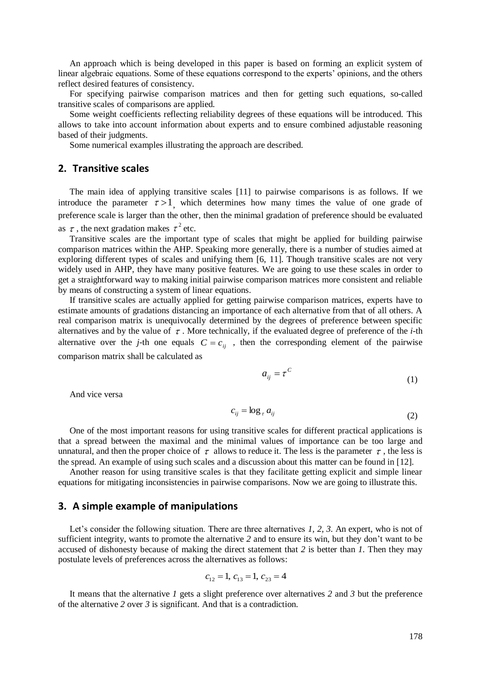An approach which is being developed in this paper is based on forming an explicit system of linear algebraic equations. Some of these equations correspond to the experts' opinions, and the others reflect desired features of consistency.

For specifying pairwise comparison matrices and then for getting such equations, so-called transitive scales of comparisons are applied.

Some weight coefficients reflecting reliability degrees of these equations will be introduced. This allows to take into account information about experts and to ensure combined adjustable reasoning based of their judgments.

Some numerical examples illustrating the approach are described.

# **2. Transitive scales**

The main idea of applying transitive scales [11] to pairwise comparisons is as follows. If we introduce the parameter  $\tau > 1$ , which determines how many times the value of one grade of preference scale is larger than the other, then the minimal gradation of preference should be evaluated as  $\tau$ , the next gradation makes  $\tau^2$  etc.

Transitive scales are the important type of scales that might be applied for building pairwise comparison matrices within the AHP. Speaking more generally, there is a number of studies aimed at exploring different types of scales and unifying them [6, 11]. Though transitive scales are not very widely used in AHP, they have many positive features. We are going to use these scales in order to get a straightforward way to making initial pairwise comparison matrices more consistent and reliable by means of constructing a system of linear equations.

If transitive scales are actually applied for getting pairwise comparison matrices, experts have to estimate amounts of gradations distancing an importance of each alternative from that of all others. A real comparison matrix is unequivocally determined by the degrees of preference between specific alternatives and by the value of  $\tau$ . More technically, if the evaluated degree of preference of the *i*-th alternative over the *j*-th one equals  $C = c_{ij}$ , then the corresponding element of the pairwise comparison matrix shall be calculated as

$$
a_{ij} = \tau^C \tag{1}
$$

And vice versa

$$
c_{ij} = \log_{\tau} a_{ij} \tag{2}
$$

One of the most important reasons for using transitive scales for different practical applications is that a spread between the maximal and the minimal values of importance can be too large and unnatural, and then the proper choice of  $\tau$  allows to reduce it. The less is the parameter  $\tau$ , the less is the spread. An example of using such scales and a discussion about this matter can be found in [12].

Another reason for using transitive scales is that they facilitate getting explicit and simple linear equations for mitigating inconsistencies in pairwise comparisons. Now we are going to illustrate this.

#### **3. A simple example of manipulations**

Let's consider the following situation. There are three alternatives *1, 2, 3*. An expert, who is not of sufficient integrity, wants to promote the alternative *2* and to ensure its win, but they don't want to be accused of dishonesty because of making the direct statement that *2* is better than *1*. Then they may postulate levels of preferences across the alternatives as follows:

$$
c_{12} = 1, c_{13} = 1, c_{23} = 4
$$

It means that the alternative *1* gets a slight preference over alternatives *2* and *3* but the preference of the alternative *2* over *3* is significant. And that is a contradiction.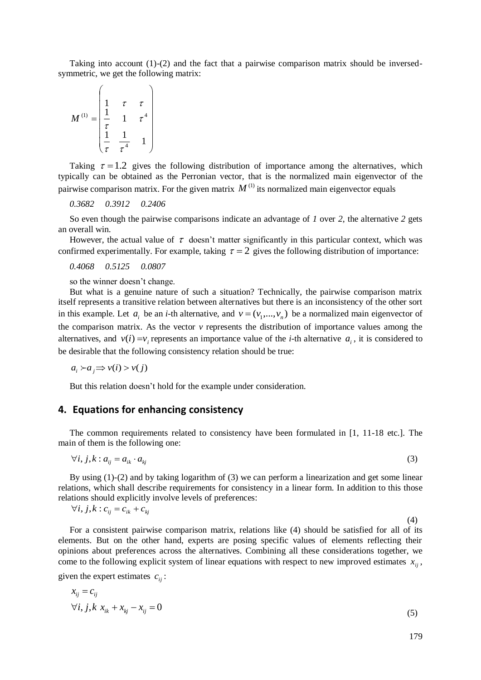Taking into account (1)-(2) and the fact that a pairwise comparison matrix should be inversedsymmetric, we get the following matrix:

$$
M^{(1)} = \begin{pmatrix} 1 & \tau & \tau \\ 1 & 1 & \tau^4 \\ \frac{1}{\tau} & 1 & \tau^4 \\ \frac{1}{\tau} & \frac{1}{\tau^4} & 1 \end{pmatrix}
$$

Taking  $\tau = 1.2$  gives the following distribution of importance among the alternatives, which typically can be obtained as the Perronian vector, that is the normalized main eigenvector of the pairwise comparison matrix. For the given matrix  $M<sup>(1)</sup>$  its normalized main eigenvector equals

*0.3682 0.3912 0.2406*

So even though the pairwise comparisons indicate an advantage of *1* over *2*, the alternative *2* gets an overall win.

However, the actual value of  $\tau$  doesn't matter significantly in this particular context, which was confirmed experimentally. For example, taking  $\tau = 2$  gives the following distribution of importance:

*0.4068 0.5125 0.0807*

so the winner doesn't change.

But what is a genuine nature of such a situation? Technically, the pairwise comparison matrix itself represents a transitive relation between alternatives but there is an inconsistency of the other sort in this example. Let  $a_i$  be an *i*-th alternative, and  $v = (v_1, ..., v_n)$  be a normalized main eigenvector of the comparison matrix. As the vector *v* represents the distribution of importance values among the alternatives, and  $v(i) = v_i$  represents an importance value of the *i*-th alternative  $a_i$ , it is considered to be desirable that the following consistency relation should be true:

$$
a_i \succ a_j \Longrightarrow v(i) > v(j)
$$

But this relation doesn't hold for the example under consideration.

#### **4. Equations for enhancing consistency**

The common requirements related to consistency have been formulated in [1, 11-18 etc.]. The main of them is the following one:

$$
\forall i, j, k : a_{ij} = a_{ik} \cdot a_{kj} \tag{3}
$$

By using (1)-(2) and by taking logarithm of (3) we can perform a linearization and get some linear relations, which shall describe requirements for consistency in a linear form. In addition to this those relations should explicitly involve levels of preferences:

$$
\forall i, j, k: c_{ij} = c_{ik} + c_{kj}
$$

For a consistent pairwise comparison matrix, relations like (4) should be satisfied for all of its elements. But on the other hand, experts are posing specific values of elements reflecting their opinions about preferences across the alternatives. Combining all these considerations together, we come to the following explicit system of linear equations with respect to new improved estimates  $x_{ij}$ ,

given the expert estimates  $c_{ij}$ :

$$
x_{ij} = c_{ij}
$$
  
\n
$$
\forall i, j, k \ x_{ik} + x_{kj} - x_{ij} = 0
$$
\n(5)

(4)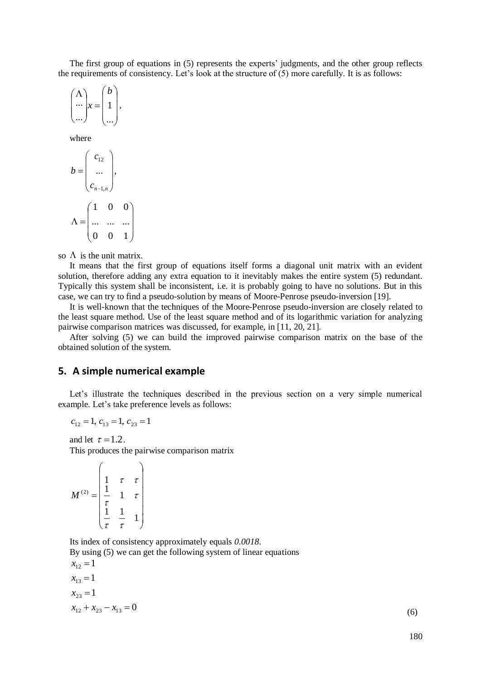The first group of equations in (5) represents the experts' judgments, and the other group reflects the requirements of consistency. Let's look at the structure of (5) more carefully. It is as follows:

$$
\begin{pmatrix} \Lambda \\ \cdots \\ \cdots \end{pmatrix} x = \begin{pmatrix} b \\ 1 \\ \cdots \end{pmatrix},
$$

where

 $\sim$ 

$$
b = \begin{pmatrix} c_{12} \\ \dots \\ c_{n-1,n} \end{pmatrix}, \\ \Lambda = \begin{pmatrix} 1 & 0 & 0 \\ \dots & \dots & \dots \\ 0 & 0 & 1 \end{pmatrix}
$$

 $\ddot{\phantom{1}}$ 

so  $\Lambda$  is the unit matrix.

It means that the first group of equations itself forms a diagonal unit matrix with an evident solution, therefore adding any extra equation to it inevitably makes the entire system (5) redundant. Typically this system shall be inconsistent, i.e. it is probably going to have no solutions. But in this case, we can try to find a pseudo-solution by means of Moore-Penrose pseudo-inversion [19].

It is well-known that the techniques of the Moore-Penrose pseudo-inversion are closely related to the least square method. Use of the least square method and of its logarithmic variation for analyzing pairwise comparison matrices was discussed, for example, in [11, 20, 21].

After solving (5) we can build the improved pairwise comparison matrix on the base of the obtained solution of the system.

#### **5. A simple numerical example**

Let's illustrate the techniques described in the previous section on a very simple numerical example. Let's take preference levels as follows:

$$
c_{12} = 1, c_{13} = 1, c_{23} = 1
$$

and let  $\tau = 1.2$ .

This produces the pairwise comparison matrix

|                       | 7. | $\tau$ |
|-----------------------|----|--------|
| (2)<br>$\overline{M}$ |    | $\tau$ |
|                       |    |        |
|                       |    |        |
|                       |    |        |

Its index of consistency approximately equals *0.0018*.

By using (5) we can get the following system of linear equations

$$
x_{12} = 1
$$
  
\n
$$
x_{13} = 1
$$
  
\n
$$
x_{23} = 1
$$
  
\n
$$
x_{12} + x_{23} - x_{13} = 0
$$

(6)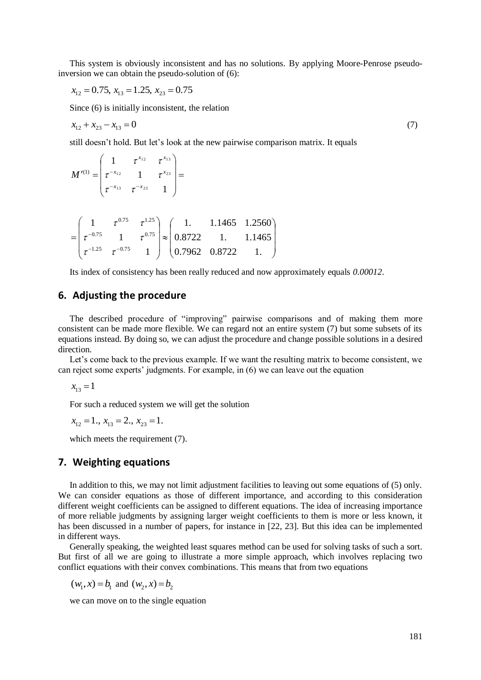This system is obviously inconsistent and has no solutions. By applying Moore-Penrose pseudoinversion we can obtain the pseudo-solution of (6):

 $x_{12} = 0.75$ ,  $x_{13} = 1.25$ ,  $x_{23} = 0.75$ 

Since (6) is initially inconsistent, the relation

$$
x_{12} + x_{23} - x_{13} = 0 \tag{7}
$$

still doesn't hold. But let's look at the new pairwise comparison matrix. It equals

$$
M'^{(1)} = \begin{pmatrix} 1 & \tau^{x_{12}} & \tau^{x_{13}} \\ \tau^{-x_{12}} & 1 & \tau^{x_{23}} \\ \tau^{-x_{13}} & \tau^{-x_{23}} & 1 \end{pmatrix} =
$$

$$
= \begin{pmatrix} 1 & \tau^{0.75} & \tau^{1.25} \\ \tau^{-0.75} & 1 & \tau^{0.75} \\ \tau^{-1.25} & \tau^{-0.75} & 1 \end{pmatrix} \approx \begin{pmatrix} 1. & 1.1465 & 1.2560 \\ 0.8722 & 1. & 1.1465 \\ 0.7962 & 0.8722 & 1. \end{pmatrix}
$$

Its index of consistency has been really reduced and now approximately equals *0.00012*.

# **6. Adjusting the procedure**

The described procedure of "improving" pairwise comparisons and of making them more consistent can be made more flexible. We can regard not an entire system (7) but some subsets of its equations instead. By doing so, we can adjust the procedure and change possible solutions in a desired direction.

Let's come back to the previous example. If we want the resulting matrix to become consistent, we can reject some experts' judgments. For example, in (6) we can leave out the equation

 $x_{13} = 1$ 

For such a reduced system we will get the solution

 $x_{12} = 1, x_{13} = 2, x_{23} = 1.$ 

which meets the requirement  $(7)$ .

#### **7. Weighting equations**

In addition to this, we may not limit adjustment facilities to leaving out some equations of (5) only. We can consider equations as those of different importance, and according to this consideration different weight coefficients can be assigned to different equations. The idea of increasing importance of more reliable judgments by assigning larger weight coefficients to them is more or less known, it has been discussed in a number of papers, for instance in [22, 23]. But this idea can be implemented in different ways.

Generally speaking, the weighted least squares method can be used for solving tasks of such a sort. But first of all we are going to illustrate a more simple approach, which involves replacing two conflict equations with their convex combinations. This means that from two equations

 $(w_1, x) = b_1$  and  $(w_2, x) = b_2$ 

we can move on to the single equation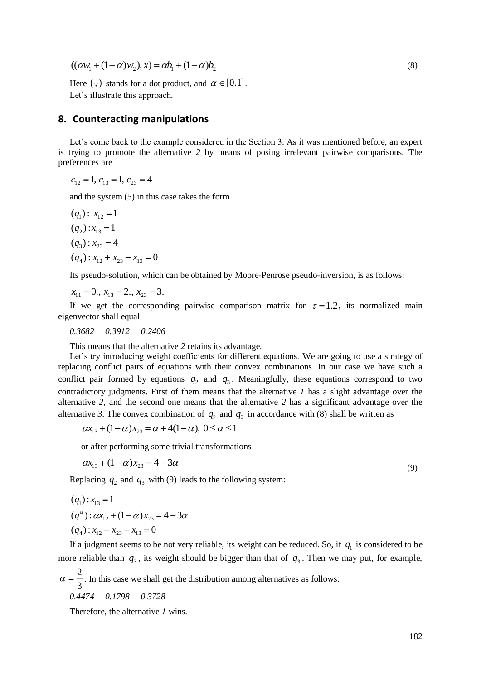$((\alpha w_1 + (1 - \alpha)w_2), x) = \alpha b_1 + (1 - \alpha)b_2$ 

Here  $(\cdot, \cdot)$  stands for a dot product, and  $\alpha \in [0.1]$ . Let's illustrate this approach.

#### **8. Counteracting manipulations**

Let's come back to the example considered in the Section 3. As it was mentioned before, an expert is trying to promote the alternative *2* by means of posing irrelevant pairwise comparisons. The preferences are

 $c_{12} = 1, c_{13} = 1, c_{23} = 4$ 

and the system (5) in this case takes the form

$$
(q1): x12 = 1
$$
  
\n
$$
(q2): x13 = 1
$$
  
\n
$$
(q3): x23 = 4
$$
  
\n
$$
(q4): x12 + x23 - x13 = 0
$$

Its pseudo-solution, which can be obtained by Moore-Penrose pseudo-inversion, is as follows:

 $x_{11} = 0,$ ,  $x_{13} = 2,$ ,  $x_{23} = 3.$ 

If we get the corresponding pairwise comparison matrix for  $\tau = 1.2$ , its normalized main eigenvector shall equal

*0.3682 0.3912 0.2406*

This means that the alternative *2* retains its advantage.

Let's try introducing weight coefficients for different equations. We are going to use a strategy of replacing conflict pairs of equations with their convex combinations. In our case we have such a conflict pair formed by equations  $q_2$  and  $q_3$ . Meaningfully, these equations correspond to two contradictory judgments. First of them means that the alternative *1* has a slight advantage over the alternative *2*, and the second one means that the alternative *2* has a significant advantage over the alternative 3. The convex combination of  $q_2$  and  $q_3$  in accordance with (8) shall be written as

$$
\alpha x_{13} + (1 - \alpha) x_{23} = \alpha + 4(1 - \alpha), \ 0 \le \alpha \le 1
$$

or after performing some trivial transformations

$$
\alpha x_{13} + (1 - \alpha) x_{23} = 4 - 3\alpha
$$

Replacing  $q_2$  and  $q_3$  with (9) leads to the following system:

$$
(q_1): x_{13} = 1
$$
  
\n
$$
(q^{\alpha}): \alpha x_{12} + (1 - \alpha)x_{23} = 4 - 3\alpha
$$
  
\n
$$
(q_4): x_{12} + x_{23} - x_{13} = 0
$$

If a judgment seems to be not very reliable, its weight can be reduced. So, if  $q_1$  is considered to be more reliable than  $q_3$ , its weight should be bigger than that of  $q_3$ . Then we may put, for example,

3  $\alpha = \frac{2}{2}$ . In this case we shall get the distribution among alternatives as follows: *0.4474 0.1798 0.3728*

Therefore, the alternative *1* wins.

(9)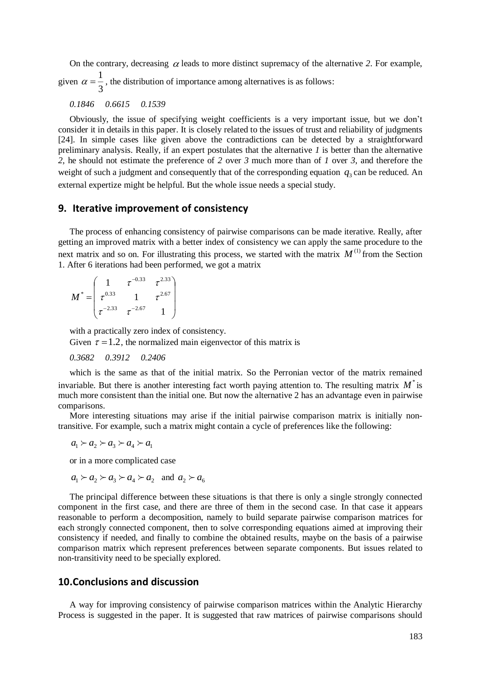On the contrary, decreasing  $\alpha$  leads to more distinct supremacy of the alternative 2. For example, given  $\alpha = \frac{1}{3}$  $\alpha = \frac{1}{2}$ , the distribution of importance among alternatives is as follows:

*0.1846 0.6615 0.1539*

Obviously, the issue of specifying weight coefficients is a very important issue, but we don't consider it in details in this paper. It is closely related to the issues of trust and reliability of judgments [24]. In simple cases like given above the contradictions can be detected by a straightforward preliminary analysis. Really, if an expert postulates that the alternative *1* is better than the alternative *2*, he should not estimate the preference of *2* over *3* much more than of *1* over *3*, and therefore the weight of such a judgment and consequently that of the corresponding equation  $q_3$  can be reduced. An external expertize might be helpful. But the whole issue needs a special study.

## **9. Iterative improvement of consistency**

The process of enhancing consistency of pairwise comparisons can be made iterative. Really, after getting an improved matrix with a better index of consistency we can apply the same procedure to the next matrix and so on. For illustrating this process, we started with the matrix  $M^{(1)}$  from the Section 1. After 6 iterations had been performed, we got a matrix

l I J  $\backslash$  $\mathsf{L}$  $\mathbf{r}$  $\mathsf{L}$ l ſ Ξ -2.99 -— 1 1 1  $2.33 - -2.67$ 0.33 2.67  $0.33 - 2.33$ \*  $\tau$   $\tau$  $\tau$   $\tau$  $\tau$   $\tau$ *M*

with a practically zero index of consistency.

Given  $\tau = 1.2$ , the normalized main eigenvector of this matrix is

*0.3682 0.3912 0.2406*

which is the same as that of the initial matrix. So the Perronian vector of the matrix remained invariable. But there is another interesting fact worth paying attention to. The resulting matrix  $M^*$  is much more consistent than the initial one. But now the alternative 2 has an advantage even in pairwise comparisons.

More interesting situations may arise if the initial pairwise comparison matrix is initially nontransitive. For example, such a matrix might contain a cycle of preferences like the following:

 $a_1 \succ a_2 \succ a_3 \succ a_4 \succ a_1$ 

or in a more complicated case

 $a_1 \succ a_2 \succ a_3 \succ a_4 \succ a_2$  and  $a_2 \succ a_6$ 

The principal difference between these situations is that there is only a single strongly connected component in the first case, and there are three of them in the second case. In that case it appears reasonable to perform a decomposition, namely to build separate pairwise comparison matrices for each strongly connected component, then to solve corresponding equations aimed at improving their consistency if needed, and finally to combine the obtained results, maybe on the basis of a pairwise comparison matrix which represent preferences between separate components. But issues related to non-transitivity need to be specially explored.

# **10.Conclusions and discussion**

A way for improving consistency of pairwise comparison matrices within the Analytic Hierarchy Process is suggested in the paper. It is suggested that raw matrices of pairwise comparisons should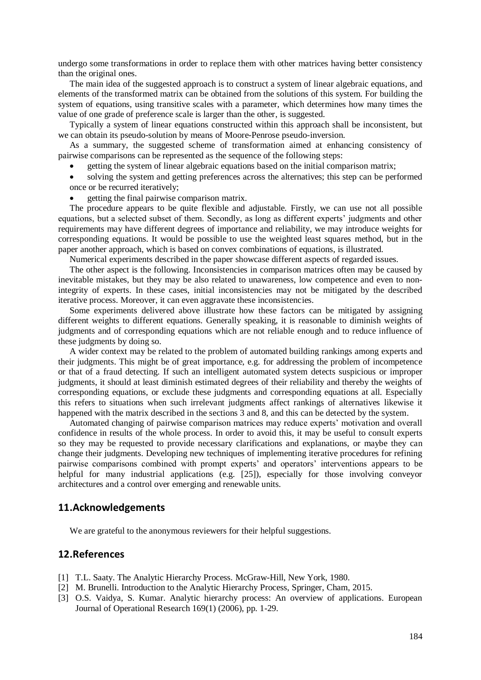undergo some transformations in order to replace them with other matrices having better consistency than the original ones.

The main idea of the suggested approach is to construct a system of linear algebraic equations, and elements of the transformed matrix can be obtained from the solutions of this system. For building the system of equations, using transitive scales with a parameter, which determines how many times the value of one grade of preference scale is larger than the other, is suggested.

Typically a system of linear equations constructed within this approach shall be inconsistent, but we can obtain its pseudo-solution by means of Moore-Penrose pseudo-inversion.

As a summary, the suggested scheme of transformation aimed at enhancing consistency of pairwise comparisons can be represented as the sequence of the following steps:

- getting the system of linear algebraic equations based on the initial comparison matrix;
- solving the system and getting preferences across the alternatives; this step can be performed once or be recurred iteratively;
- getting the final pairwise comparison matrix.

The procedure appears to be quite flexible and adjustable. Firstly, we can use not all possible equations, but a selected subset of them. Secondly, as long as different experts' judgments and other requirements may have different degrees of importance and reliability, we may introduce weights for corresponding equations. It would be possible to use the weighted least squares method, but in the paper another approach, which is based on convex combinations of equations, is illustrated.

Numerical experiments described in the paper showcase different aspects of regarded issues.

The other aspect is the following. Inconsistencies in comparison matrices often may be caused by inevitable mistakes, but they may be also related to unawareness, low competence and even to nonintegrity of experts. In these cases, initial inconsistencies may not be mitigated by the described iterative process. Moreover, it can even aggravate these inconsistencies.

Some experiments delivered above illustrate how these factors can be mitigated by assigning different weights to different equations. Generally speaking, it is reasonable to diminish weights of judgments and of corresponding equations which are not reliable enough and to reduce influence of these judgments by doing so.

A wider context may be related to the problem of automated building rankings among experts and their judgments. This might be of great importance, e.g. for addressing the problem of incompetence or that of a fraud detecting. If such an intelligent automated system detects suspicious or improper judgments, it should at least diminish estimated degrees of their reliability and thereby the weights of corresponding equations, or exclude these judgments and corresponding equations at all. Especially this refers to situations when such irrelevant judgments affect rankings of alternatives likewise it happened with the matrix described in the sections 3 and 8, and this can be detected by the system.

Automated changing of pairwise comparison matrices may reduce experts' motivation and overall confidence in results of the whole process. In order to avoid this, it may be useful to consult experts so they may be requested to provide necessary clarifications and explanations, or maybe they can change their judgments. Developing new techniques of implementing iterative procedures for refining pairwise comparisons combined with prompt experts' and operators' interventions appears to be helpful for many industrial applications (e.g. [25]), especially for those involving conveyor architectures and a control over emerging and renewable units.

## **11.Acknowledgements**

We are grateful to the anonymous reviewers for their helpful suggestions.

# **12.References**

- [1] T.L. Saaty. The Analytic Hierarchy Process. McGraw-Hill, New York, 1980.
- [2] M. Brunelli. Introduction to the Analytic Hierarchy Process, Springer, Cham, 2015.
- [3] O.S. Vaidya, S. Kumar. Analytic hierarchy process: An overview of applications. European Journal of Operational Research 169(1) (2006), pp. 1-29.